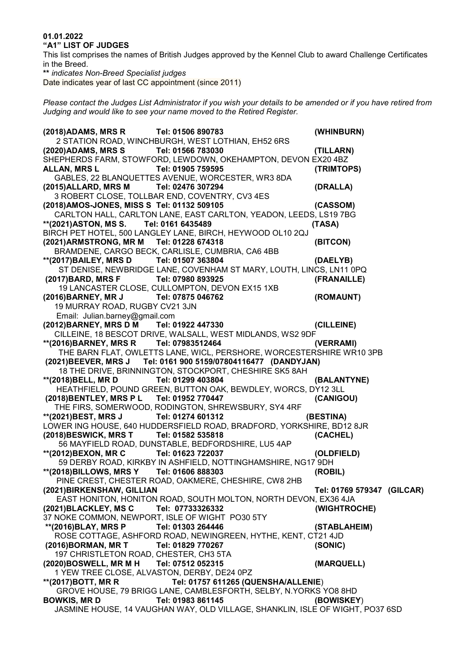## **01.01.2022 "A1" LIST OF JUDGES**

This list comprises the names of British Judges approved by the Kennel Club to award Challenge Certificates in the Breed.

**\*\*** *indicates Non-Breed Specialist judges*

Date indicates year of last CC appointment (since 2011)

*Please contact the Judges List Administrator if you wish your details to be amended or if you have retired from Judging and would like to see your name moved to the Retired Register.*

**(2018)ADAMS, MRS R Tel: 01506 890783 (WHINBURN)** 2 STATION ROAD, WINCHBURGH, WEST LOTHIAN, EH52 6RS<br>20)ADAMS, MRS S Tel: 01566 783030 **(2020)ADAMS, MRS S Tel: 01566 783030 (TILLARN)**  SHEPHERDS FARM, STOWFORD, LEWDOWN, OKEHAMPTON, DEVON EX20 4BZ **ALLAN, MRS L Tel: 01905 759595 (TRIMTOPS)** GABLES, 22 BLANQUETTES AVENUE, WORCESTER, WR3 8DA<br>115)ALLARD, MRS M Tel: 02476 307294 **(2015)ALLARD, MRS M Tel: 02476 307294 (DRALLA)** 3 ROBERT CLOSE, TOLLBAR END, COVENTRY, CV3 4ES **(2018)AMOS-JONES, MISS S Tel: 01132 509105 (CASSOM)** CARLTON HALL, CARLTON LANE, EAST CARLTON, YEADON, LEEDS, LS19 7BG **\*\*(2021)ASTON, MS S. Tel: 0161 6435489 (TASA)**  BIRCH PET HOTEL, 500 LANGLEY LANE, BIRCH, HEYWOOD OL10 2QJ (2021) ARMSTRONG, MR M Tel: 01228 674318 **(2021)ARMSTRONG, MR M Tel: 01228 674318 (BITCON)** BRAMDENE, CARGO BECK, CARLISLE, CUMBRIA, CA6 4BB **\*\*(2017)BAILEY, MRS D Tel: 01507 363804 (DAELYB)** ST DENISE, NEWBRIDGE LANE, COVENHAM ST MARY, LOUTH, LINCS, LN11 0PQ **(2017)BARD, MRS F Tel: 07980 893925 (FRANAILLE)** 19 LANCASTER CLOSE, CULLOMPTON, DEVON EX15 1XB **(2016)BARNEY, MR J Tel: 07875 046762 (ROMAUNT)** 19 MURRAY ROAD, RUGBY CV21 3JN Email: Julian.barney@gmail.com **(2012)BARNEY, MRS D M Tel: 01922 447330 (CILLEINE)** CILLEINE, 18 BESCOT DRIVE, WALSALL, WEST MIDLANDS, WS2 9DF<br>2016)BARNEY, MRS R Tel: 07983512464 (VERRAMI) **\*\*(2016)BARNEY, MRS R Tel: 07983512464 (VERRAMI)** THE BARN FLAT, OWLETTS LANE, WICL, PERSHORE, WORCESTERSHIRE WR10 3PB **(2021)BEEVER, MRS J Tel: 0161 900 5159/07804116477 (DANDYJAN)** 18 THE DRIVE, BRINNINGTON, STOCKPORT, CHESHIRE SK5 8AH **\*\*(2018)BELL, MR D Tel: 01299 403804 (BALANTYNE)** HEATHFIELD, POUND GREEN, BUTTON OAK, BEWDLEY, WORCS, DY12 3LL **(2018)BENTLEY, MRS P L Tel: 01952 770447 (CANIGOU)** THE FIRS, SOMERWOOD, RODINGTON, SHREWSBURY, SY4 4RF **\*\*(2021)BEST, MRS J Tel: 01274 601312 (BESTINA)** LOWER ING HOUSE, 640 HUDDERSFIELD ROAD, BRADFORD, YORKSHIRE, BD12 8JR<br>(CACHEL) (2018) BESWICK, MRS T Tel: 01582 535818 **(2018)BESWICK, MRS T Tel: 01582 535818 (CACHEL)** 56 MAYFIELD ROAD, DUNSTABLE, BEDFORDSHIRE, LU5 4AP **\*\*(2012)BEXON, MR C Tel: 01623 722037 (OLDFIELD)** 59 DERBY ROAD, KIRKBY IN ASHFIELD, NOTTINGHAMSHIRE, NG17 9DH **\*\*(2018)BILLOWS, MRS Y Tel: 01606 888303 (ROBIL)** PINE CREST, CHESTER ROAD, OAKMERE, CHESHIRE, CW8 2HB **(2021)BIRKENSHAW, GILLIAN Tel: 01769 579347 (GILCAR)** EAST HONITON, HONITON ROAD, SOUTH MOLTON, NORTH DEVON, EX36 4JA **(2021)BLACKLEY, MS C Tel: 07733326332 (WIGHTROCHE)** 37 NOKE COMMON, NEWPORT, ISLE OF WIGHT PO30 5TY **\*\*(2016)BLAY, MRS P Tel: 01303 264446 (STABLAHEIM)** ROSE COTTAGE, ASHFORD ROAD, NEWINGREEN, HYTHE, KENT, CT21 4JD **(2016)BORMAN, MR T Tel: 01829 770267 (SONIC)** 197 CHRISTLETON ROAD, CHESTER, CH3 5TA **(2020)BOSWELL, MR M H Tel: 07512 052315 (MARQUELL)** 1 YEW TREE CLOSE, ALVASTON, DERBY, DE24 0PZ **\*\*(2017)BOTT, MR R Tel: 01757 611265 (QUENSHA/ALLENIE**) GROVE HOUSE, 79 BRIGG LANE, CAMBLESFORTH, SELBY, N.YORKS YO8 8HD **BOWKIS, MR D Tel: 01983 861145 (BOWISKEY**) JASMINE HOUSE, 14 VAUGHAN WAY, OLD VILLAGE, SHANKLIN, ISLE OF WIGHT, PO37 6SD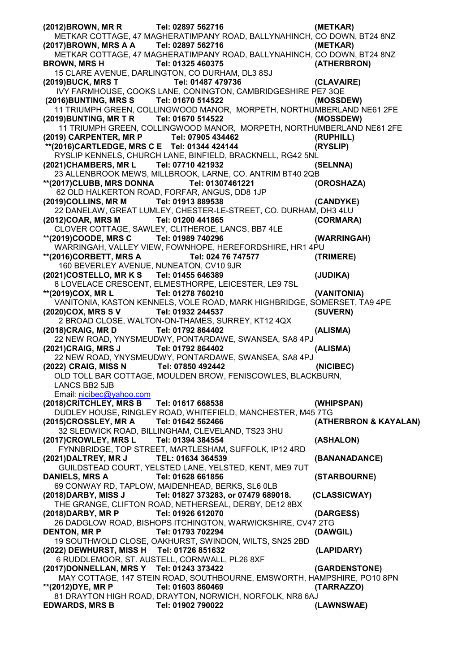**(2012)BROWN, MR R Tel: 02897 562716 (METKAR)** METKAR COTTAGE, 47 MAGHERATIMPANY ROAD, BALLYNAHINCH, CO DOWN, BT24 8NZ **(2017)BROWN, MRS A A Tel: 02897 562716 (METKAR)** METKAR COTTAGE, 47 MAGHERATIMPANY ROAD, BALLYNAHINCH, CO DOWN, BT24 8NZ **BROWN, MRS H Tel: 01325 460375 (ATHERBRON)** 15 CLARE AVENUE, DARLINGTON, CO DURHAM, DL3 8SJ **(2019)BUCK, MRS T Tel: 01487 479736 (CLAVAIRE)**  IVY FARMHOUSE, COOKS LANE, CONINGTON, CAMBRIDGESHIRE PE7 3QE **(2016)BUNTING, MRS S Tel: 01670 514522 (MOSSDEW)** 11 TRIUMPH GREEN, COLLINGWOOD MANOR, MORPETH, NORTHUMBERLAND NE61 2FE **(2019)BUNTING, MR T R Tel: 01670 514522 (MOSSDEW)** 11 TRIUMPH GREEN, COLLINGWOOD MANOR, MORPETH, NORTHUMBERLAND NE61 2FE **(2019) CARPENTER, MR P Tel: 07905 434462 (RUPHILL) \*\*(2016)CARTLEDGE, MRS C E Tel: 01344 424144 (RYSLIP)** RYSLIP KENNELS, CHURCH LANE, BINFIELD, BRACKNELL, RG42 5NL **(2021)CHAMBERS, MR L Tel: 07710 421932 (SELNNA)** 23 ALLENBROOK MEWS, MILLBROOK, LARNE, CO. ANTRIM BT40 2QB **\*\*(2017)CLUBB, MRS DONNA Tel: 01307461221 (OROSHAZA)** 62 OLD HALKERTON ROAD, FORFAR, ANGUS, DD8 1JP **(2019)COLLINS, MR M Tel: 01913 889538 (CANDYKE)** 22 DANELAW, GREAT LUMLEY, CHESTER-LE-STREET, CO. DURHAM, DH3 4LU **(2012)COAR, MRS M Tel: 01200 441865 (CORMARA)** CLOVER COTTAGE, SAWLEY, CLITHEROE, LANCS, BB7 4LE \*\***(2019)COODE, MRS C Tel: 01989 740296 (WARRINGAH)** WARRINGAH, VALLEY VIEW, FOWNHOPE, HEREFORDSHIRE, HR1 4PU **\*\*(2016)CORBETT, MRS A Tel: 024 76 747577 (TRIMERE)**  160 BEVERLEY AVENUE, NUNEATON, CV10 9JR **(2021)COSTELLO, MR K S Tel: 01455 646389 (JUDIKA)** 8 LOVELACE CRESCENT, ELMESTHORPE, LEICESTER, LE9 7SL **\*\*(2019)COX, MR L Tel: 01278 760210 (VANITONIA)** VANITONIA, KASTON KENNELS, VOLE ROAD, MARK HIGHBRIDGE, SOMERSET, TA9 4PE<br>20)COX, MRS S V Tel: 01932 244537 **(2020)COX, MRS S V Tel: 01932 244537 (SUVERN)** 2 BROAD CLOSE, WALTON-ON-THAMES, SURREY, KT12 4QX **(2018)CRAIG, MR D Tel: 01792 864402 (ALISMA)** 22 NEW ROAD, YNYSMEUDWY, PONTARDAWE, SWANSEA, SA8 4PJ **(2021)CRAIG, MRS J Tel: 01792 864402 (ALISMA)** 22 NEW ROAD, YNYSMEUDWY, PONTARDAWE, SWANSEA, SA8 4PJ **(2022) CRAIG, MISS N Tel: 07850 492442 (NICIBEC)** OLD TOLL BAR COTTAGE, MOULDEN BROW, FENISCOWLES, BLACKBURN, LANCS BB2 5JB Email: [nicibec@yahoo.com](mailto:nicibec@yahoo.com) **(2018)CRITCHLEY, MRS B Tel: 01617 668538 (WHIPSPAN)** DUDLEY HOUSE, RINGLEY ROAD, WHITEFIELD, MANCHESTER, M45 7TG **(2015)CROSSLEY, MR A Tel: 01642 562466 (ATHERBRON & KAYALAN)** 32 SLEDWICK ROAD, BILLINGHAM, CLEVELAND, TS23 3HU **(2017)CROWLEY, MRS L Tel: 01394 384554 (ASHALON)** FYNNBRIDGE, TOP STREET, MARTLESHAM, SUFFOLK, IP12 4RD **(2021)DALTREY, MR J TEL: 01634 364539 (BANANADANCE)** GUILDSTEAD COURT, YELSTED LANE, YELSTED, KENT, ME9 7UT **DANIELS, MRS A Tel: 01628 661856 (STARBOURNE)** 69 CONWAY RD, TAPLOW, MAIDENHEAD, BERKS, SL6 0LB **(2018)DARBY, MISS J Tel: 01827 373283, or 07479 689018. (CLASSICWAY)** THE GRANGE, CLIFTON ROAD, NETHERSEAL, DERBY, DE12 8BX **(2018)DARBY, MR P Tel: 01926 612070 (DARGESS)** 26 DADGLOW ROAD, BISHOPS ITCHINGTON, WARWICKSHIRE, CV47 2TG **DENTON, MR P Tel: 01793 702294 (DAWGIL)** 19 SOUTHWOLD CLOSE, OAKHURST, SWINDON, WILTS, SN25 2BD **(2022) DEWHURST, MISS H Tel: 01726 851632 (LAPIDARY)** 6 RUDDLEMOOR, ST. AUSTELL, CORNWALL, PL26 8XF **(2017)DONNELLAN, MRS Y Tel: 01243 373422 (GARDENSTONE)** MAY COTTAGE, 147 STEIN ROAD, SOUTHBOURNE, EMSWORTH, HAMPSHIRE, PO10 8PN **\*\*(2012)DYE, MR P Tel: 01603 860469 (TARRAZZO)** 81 DRAYTON HIGH ROAD, DRAYTON, NORWICH, NORFOLK, NR8 6AJ **EDWARDS, MRS B Tel: 01902 790022 (LAWNSWAE)**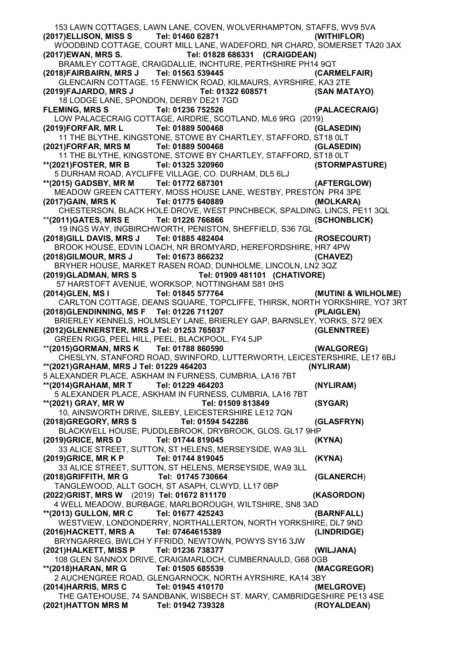153 LAWN COTTAGES, LAWN LANE, COVEN, WOLVERHAMPTON, STAFFS, WV9 5VA<br>117)ELLISON, MISS Shipsite: 01460 62871 **(2017)ELLISON, MISS S Tel: 01460 62871 (WITHIFLOR)** WOODBIND COTTAGE, COURT MILL LANE, WADEFORD, NR CHARD, SOMERSET TA20 3AX **(2017)EWAN, MRS S. Tel: 01828 686331 (CRAIGDEAN)**  BRAMLEY COTTAGE, CRAIGDALLIE, INCHTURE, PERTHSHIRE PH14 9QT **(2018)FAIRBAIRN, MRS J Tel: 01563 539445 (CARMELFAIR)** GLENCAIRN COTTAGE, 15 FENWICK ROAD, KILMAURS, AYRSHIRE, KA3 2TE **(2019)FAJARDO, MRS J Tel: 01322 608571 (SAN MATAYO)**  18 LODGE LANE, SPONDON, DERBY DE21 7GD<br>FLEMING, MRS S Tel: 01236 752526 **Fel: 01236 752526 (PALACECRAIG)** LOW PALACECRAIG COTTAGE, AIRDRIE, SCOTLAND, ML6 9RG (2019) **(2019)FORFAR, MR L Tel: 01889 500468 (GLASEDIN)** 11 THE BLYTHE, KINGSTONE, STOWE BY CHARTLEY, STAFFORD, ST18 0LT<br>1)FORFAR, MRS M Tel: 01889 500468 (GLASEDIN) **(2021)FORFAR, MRS M Tel: 01889 500468 (GLASEDIN)** 11 THE BLYTHE, KINGSTONE, STOWE BY CHARTLEY, STAFFORD, ST18 0LT **\*\*(2021)FOSTER, MR B Tel: 01325 320960 (STORMPASTURE)** 5 DURHAM ROAD, AYCLIFFE VILLAGE, CO. DURHAM, DL5 6LJ **\*\*(2015) GADSBY, MR M Tel: 01772 687301 (AFTERGLOW)** MEADOW GREEN CATTERY, MOSS HOUSE LANE, WESTBY, PRESTON PR4 3PE **(2017)GAIN, MRS K Tel: 01775 640889 (MOLKARA)** CHESTERSON, BLACK HOLE DROVE, WEST PINCHBECK, SPALDING, LINCS, PE11 3QL \*\***(2011)GATES, MRS E Tel: 01226 766866 (SCHONBLICK)** 19 INGS WAY, INGBIRCHWORTH, PENISTON, SHEFFIELD, S36 7GL **(2018)GILL DAVIS, MRS J Tel: 01885 482404 (ROSECOURT)** BROOK HOUSE, EDVIN LOACH, NR BROMYARD, HEREFORDSHIRE, HR7 4PW **(2018)GILMOUR, MRS J Tel: 01673 866232 (CHAVEZ)** BRYHER HOUSE, MARKET RASEN ROAD, DUNHOLME, LINCOLN, LN2 3QZ **(2019)GLADMAN, MRS S Tel: 01909 481101 (CHATIVORE)**  57 HARSTOFT AVENUE, WORKSOP, NOTTINGHAM S81 0HS<br>(2014)GLEN, MSI Tel: 01845 577764 **(2014)GLEN, MS I Tel: 01845 577764 (MUTINI & WILHOLME)** CARLTON COTTAGE, DEANS SQUARE, TOPCLIFFE, THIRSK, NORTH YORKSHIRE, YO7 3RT 18) GLENDINNING, MS F Tel: 01226 711207 **(2018)GLENDINNING, MS F Tel: 01226 711207 (PLAIGLEN)** BRIERLEY KENNELS, HOLMSLEY LANE, BRIERLEY GAP, BARNSLEY, YORKS, S72 9EX **(2012)GLENNERSTER, MRS J Tel: 01253 765037 (GLENNTREE)** GREEN RIGG, PEEL HILL, PEEL, BLACKPOOL, FY4 5JP \*\***(2015)GORMAN, MRS K Tel: 01788 860590 (WALGOREG)** CHESLYN, STANFORD ROAD, SWINFORD, LUTTERWORTH, LEICESTERSHIRE, LE17 6BJ **\*\*(2021)GRAHAM, MRS J Tel: 01229 464203 (NYLIRAM)** 5 ALEXANDER PLACE, ASKHAM IN FURNESS, CUMBRIA, LA16 7BT **\*\*(2014)GRAHAM, MR T Tel: 01229 464203 (NYLIRAM)** 5 ALEXANDER PLACE, ASKHAM IN FURNESS, CUMBRIA, LA16 7BT **\*\*(2021) GRAY, MR W Tel: 01509 813849 (SYGAR)** 10, AINSWORTH DRIVE, SILEBY, LEICESTERSHIRE LE12 7QN **(2018)GREGORY, MRS S Tel: 01594 542286 (GLASFRYN)**  BLACKWELL HOUSE, PUDDLEBROOK, DRYBROOK, GLOS. GL17 9HP **(2019)GRICE, MRS D Tel: 01744 819045 (KYNA)** 33 ALICE STREET, SUTTON, ST HELENS, MERSEYSIDE, WA9 3LL **(2019)GRICE, MR K P Tel: 01744 819045 (KYNA)** 33 ALICE STREET, SUTTON, ST HELENS, MERSEYSIDE, WA9 3LL **(2018)GRIFFITH, MR G Tel: 01745 730664 (GLANERCH**) TANGLEWOOD, ALLT GOCH, ST ASAPH, CLWYD, LL17 0BP **(2022**)**GRIST, MRS W** (2019) **Tel: 01672 811170 (KASORDON)**  4 WELL MEADOW, BURBAGE, MARLBOROUGH, WILTSHIRE, SN8 3AD **\*\*(2013) GULLON, MR C Tel: 01677 425243 (BARNFALL)** WESTVIEW, LONDONDERRY, NORTHALLERTON, NORTH YORKSHIRE, DL7 9ND **(2016)HACKETT, MRS A Tel: 07464615389 (LINDRIDGE)** BRYNGARREG, BWLCH Y FFRIDD, NEWTOWN, POWYS SY16 3JW **(2021)HALKETT, MISS P Tel: 01236 738377 (WILJANA)** 108 GLEN SANNOX DRIVE, CRAIGMARLOCH, CUMBERNAULD, G68 0GB **\*\*(2018)HARAN, MR G Tel: 01505 685539 (MACGREGOR)** 2 AUCHENGREE ROAD, GLENGARNOCK, NORTH AYRSHIRE, KA14 3BY **(2014)HARRIS, MRS C Tel: 01945 410170 (MELGROVE)** THE GATEHOUSE, 74 SANDBANK, WISBECH ST. MARY, CAMBRIDGESHIRE PE13 4SE **(2021)HATTON MRS M Tel: 01942 739328 (ROYALDEAN)**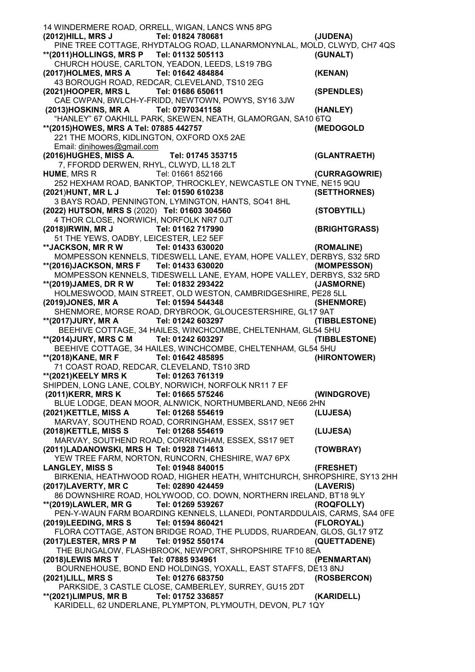14 WINDERMERE ROAD, ORRELL, WIGAN, LANCS WN5 8PG **(2012)HILL, MRS J Tel: 01824 780681 (JUDENA)** PINE TREE COTTAGE, RHYDTALOG ROAD, LLANARMONYNLAL, MOLD, CLWYD, CH7 4QS **\*\*(2011)HOLLINGS, MRS P Tel: 01132 505113 (GUNALT)** CHURCH HOUSE, CARLTON, YEADON, LEEDS, LS19 7BG **(2017)HOLMES, MRS A Tel: 01642 484884 (KENAN)** 43 BOROUGH ROAD, REDCAR, CLEVELAND, TS10 2EG<br>121)HOOPER, MRS Land Tel: 01686 650611 **(2021)HOOPER, MRS L Tel: 01686 650611 (SPENDLES)** CAE CWPAN, BWLCH-Y-FRIDD, NEWTOWN, POWYS, SY16 3JW<br>013)HOSKINS, MR A Tel: 07970341158 **(2013)HOSKINS, MR A Tel: 07970341158 (HANLEY)** "HANLEY" 67 OAKHILL PARK, SKEWEN, NEATH, GLAMORGAN, SA10 6TQ **\*\*(2015)HOWES, MRS A Tel: 07885 442757 (MEDOGOLD** 221 THE MOORS, KIDLINGTON, OXFORD OX5 2AE Email: [dinihowes@gmail.com](mailto:dinihowes@gmail.com) **(2016)HUGHES, MISS A. Tel: 01745 353715 (GLANTRAETH)**  7, FFORDD DERWEN, RHYL, CLWYD, LL18 2LT **HUME**, MRS R Tel: 01661 852166 **(CURRAGOWRIE)** 252 HEXHAM ROAD, BANKTOP, THROCKLEY, NEWCASTLE ON TYNE, NE15 9QU **(2021**)**HUNT, MR L J Tel: 01590 610238 (SETTHORNES)** 3 BAYS ROAD, PENNINGTON, LYMINGTON, HANTS, SO41 8HL **(2022) HUTSON, MRS S** (2020) **Tel: 01603 304560 (STOBYTILL)** 4 THOR CLOSE, NORWICH, NORFOLK NR7 0JT **(2018)IRWIN, MR J Tel: 01162 717990 (BRIGHTGRASS)** 51 THE YEWS, OADBY, LEICESTER, LE2 5EF ACKSON, MR R W Tel: 01433 630020 **\*\*JACKSON, MR R W Tel: 01433 630020 (ROMALINE)** MOMPESSON KENNELS, TIDESWELL LANE, EYAM, HOPE VALLEY, DERBYS, S32 5RD **\*\*(2016)JACKSON, MRS F Tel: 01433 630020 (MOMPESSON)** MOMPESSON KENNELS, TIDESWELL LANE, EYAM, HOPE VALLEY, DERBYS, S32 5RD **\*\*(2019)JAMES, DR R W Tel: 01832 293422 (JASMORNE)** HOLMESWOOD, MAIN STREET, OLD WESTON, CAMBRIDGESHIRE, PE28 5LL **(2019)JONES, MR A Tel: 01594 544348 (SHENMORE)** SHENMORE, MORSE ROAD, DRYBROOK, GLOUCESTERSHIRE, GL17 9AT **\*\*(2017)JURY, MR A Tel: 01242 603297 (TIBBLESTONE)** BEEHIVE COTTAGE, 34 HAILES, WINCHCOMBE, CHELTENHAM, GL54 5HU **\*\*(2014)JURY, MRS C M Tel: 01242 603297 (TIBBLESTONE)** BEEHIVE COTTAGE, 34 HAILES, WINCHCOMBE, CHELTENHAM, GL54 5HU **\*\*(2018)KANE, MR F Tel: 01642 485895 (HIRONTOWER)** 71 COAST ROAD, REDCAR, CLEVELAND, TS10 3RD **\*\*(2021)KEELY MRS K Tel: 01263 761319** SHIPDEN, LONG LANE, COLBY, NORWICH, NORFOLK NR11 7 EF **(2011)KERR, MRS K Tel: 01665 575246 (WINDGROVE)** BLUE LODGE, DEAN MOOR, ALNWICK, NORTHUMBERLAND, NE66 2HN **(2021)KETTLE, MISS A Tel: 01268 554619 (LUJESA)** MARVAY, SOUTHEND ROAD, CORRINGHAM, ESSEX, SS17 9ET **(2018)KETTLE, MISS S Tel: 01268 554619 (LUJESA)** MARVAY, SOUTHEND ROAD, CORRINGHAM, ESSEX, SS17 9ET **(2011)LADANOWSKI, MRS H Tel: 01928 714613 (TOWBRAY)** YEW TREE FARM, NORTON, RUNCORN, CHESHIRE, WA7 6PX **LANGLEY, MISS S Tel: 01948 840015 (FRESHET)** BIRKENIA, HEATHWOOD ROAD, HIGHER HEATH, WHITCHURCH, SHROPSHIRE, SY13 2HH **(2017)LAVERTY, MR C Tel: 02890 424459 (LAVERIS)** 86 DOWNSHIRE ROAD, HOLYWOOD, CO. DOWN, NORTHERN IRELAND, BT18 9LY **\*\*(2019)LAWLER, MR G Tel: 01269 539267 (ROQFOLLY)** PEN-Y-WAUN FARM BOARDING KENNELS, LLANEDI, PONTARDDULAIS, CARMS, SA4 0FE **(2019)LEEDING, MRS S Tel: 01594 860421 (FLOROYAL)** FLORA COTTAGE, ASTON BRIDGE ROAD, THE PLUDDS, RUARDEAN, GLOS, GL17 9TZ **(2017)LESTER, MRS P M Tel: 01952 550174 (QUETTADENE)** THE BUNGALOW, FLASHBROOK, NEWPORT, SHROPSHIRE TF10 8EA **(2018)LEWIS MRS T Tel: 07885 934961 (PENMARTAN)** BOURNEHOUSE, BOND END HOLDINGS, YOXALL, EAST STAFFS, DE13 8NJ **(2021)LILL, MRS S Tel: 01276 683750 (ROSBERCON)** PARKSIDE, 3 CASTLE CLOSE, CAMBERLEY, SURREY, GU15 2DT **\*\*(2021)LIMPUS, MR B Tel: 01752 336857 (KARIDELL)** KARIDELL, 62 UNDERLANE, PLYMPTON, PLYMOUTH, DEVON, PL7 1QY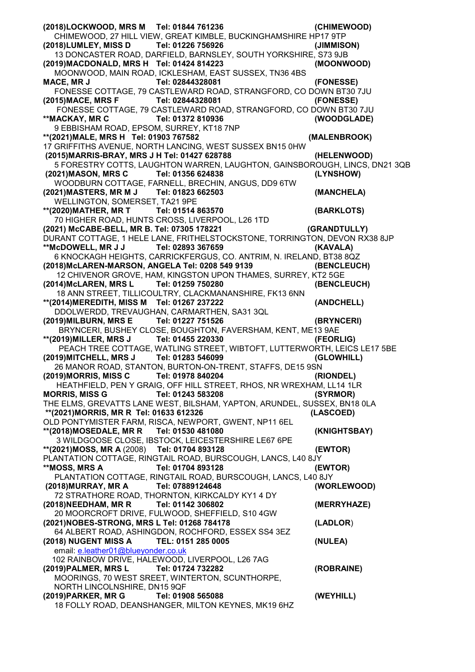**(2018)LOCKWOOD, MRS M Tel: 01844 761236 (CHIMEWOOD)**  CHIMEWOOD, 27 HILL VIEW, GREAT KIMBLE, BUCKINGHAMSHIRE HP17 9TP<br>18)L**UMLEY, MISS D** Tel: 01226 756926 (JIMMISON) **(2018)LUMLEY, MISS D Tel: 01226 756926 (JIMMISON)** 13 DONCASTER ROAD, DARFIELD, BARNSLEY, SOUTH YORKSHIRE, S73 9JB **(2019)MACDONALD, MRS H Tel: 01424 814223 (MOONWOOD)** MOONWOOD, MAIN ROAD, ICKLESHAM, EAST SUSSEX, TN36 4BS **MACE, MR J Tel: 02844328081 (FONESSE)** FONESSE COTTAGE, 79 CASTLEWARD ROAD, STRANGFORD, CO DOWN BT30 7JU **(2015)MACE, MRS F Tel: 02844328081 (FONESSE)** FONESSE COTTAGE, 79 CASTLEWARD ROAD, STRANGFORD, CO DOWN BT30 7JU **\*\*MACKAY, MR C Tel: 01372 810936 (WOODGLADE)** 9 EBBISHAM ROAD, EPSOM, SURREY, KT18 7NP **\*\*(2021)MALE, MRS H Tel: 01903 767582 (MALENBROOK)** 17 GRIFFITHS AVENUE, NORTH LANCING, WEST SUSSEX BN15 0HW **(2015)MARRIS-BRAY, MRS J H Tel: 01427 628788 (HELENWOOD)** 5 FORESTRY COTTS, LAUGHTON WARREN, LAUGHTON, GAINSBOROUGH, LINCS, DN21 3QB **(2021)MASON, MRS C Tel: 01356 624838 (LYNSHOW)** WOODBURN COTTAGE, FARNELL, BRECHIN, ANGUS, DD9 6TW **(2021)MASTERS, MR M J Tel: 01823 662503 (MANCHELA)** WELLINGTON, SOMERSET, TA21 9PE **\*\*(2020)MATHER, MR T Tel: 01514 863570 (BARKLOTS)** 70 HIGHER ROAD, HUNTS CROSS, LIVERPOOL, L26 1TD **(2021) McCABE-BELL, MR B. Tel: 07305 178221 (GRANDTULLY)**  DURANT COTTAGE, 1 HELE LANE, FRITHELSTOCKSTONE, TORRINGTON, DEVON RX38 8JP<br>\*\*McDOWELL, MR J J Tel: 02893 367659 (KAVALA) **\*\*McDOWELL, MR J J Tel: 02893 367659 (KAVALA)** 6 KNOCKAGH HEIGHTS, CARRICKFERGUS, CO. ANTRIM, N. IRELAND, BT38 8QZ **(2018)McLAREN-MARSON, ANGELA Tel: 0208 549 9139 (BENCLEUCH)** 12 CHIVENOR GROVE, HAM, KINGSTON UPON THAMES, SURREY, KT2 5GE **(2014)McLAREN, MRS L Tel: 01259 750280 (BENCLEUCH)** 18 ANN STREET, TILLICOULTRY, CLACKMANANSHIRE, FK13 6NN **\*\*(2014)MEREDITH, MISS M Tel: 01267 237222 (ANDCHELL)** DDOLWERDD, TREVAUGHAN, CARMARTHEN, SA31 3QL **(2019)MILBURN, MRS E Tel: 01227 751526 (BRYNCERI)** BRYNCERI, BUSHEY CLOSE, BOUGHTON, FAVERSHAM, KENT, ME13 9AE **\*\*(2019)MILLER, MRS J Tel: 01455 220330 (FEORLIG)** PEACH TREE COTTAGE, WATLING STREET, WIBTOFT, LUTTERWORTH, LEICS LE17 5BE **(2019)MITCHELL, MRS J Tel: 01283 546099 (GLOWHILL)** 26 MANOR ROAD, STANTON, BURTON-ON-TRENT, STAFFS, DE15 9SN **(2019)MORRIS, MISS C Tel: 01978 840204 (RIONDEL)** HEATHFIELD, PEN Y GRAIG, OFF HILL STREET, RHOS, NR WREXHAM, LL14 1LR **MORRIS, MISS G Tel: 01243 583208** THE ELMS, GREVATTS LANE WEST, BILSHAM, YAPTON, ARUNDEL, SUSSEX, BN18 0LA **\*\*(2021)MORRIS, MR R Tel: 01633 612326 (LASCOED)** OLD PONTYMISTER FARM, RISCA, NEWPORT, GWENT, NP11 6EL **\*\*(2018)MOSEDALE, MR R Tel: 01530 481080 (KNIGHTSBAY)** 3 WILDGOOSE CLOSE, IBSTOCK, LEICESTERSHIRE LE67 6PE **\*\*(2021)MOSS, MR A** (2008) **Tel: 01704 893128 (EWTOR)** PLANTATION COTTAGE, RINGTAIL ROAD, BURSCOUGH, LANCS, L40 8JY **\*\*MOSS, MRS A Tel: 01704 893128 (EWTOR)** PLANTATION COTTAGE, RINGTAIL ROAD, BURSCOUGH, LANCS, L40 8JY **(2018)MURRAY, MR A Tel: 07889124648 (WORLEWOOD)** 72 STRATHORE ROAD, THORNTON, KIRKCALDY KY1 4 DY **(2018)NEEDHAM, MR R Tel: 01142 306802 (MERRYHAZE)** 20 MOORCROFT DRIVE, FULWOOD, SHEFFIELD, S10 4GW **(2021)NOBES-STRONG, MRS L Tel: 01268 784178 (LADLOR**) 64 ALBERT ROAD, ASHINGDON, ROCHFORD, ESSEX SS4 3EZ **(2018) NUGENT MISS A TEL: 0151 285 0005 (NULEA)** email: [e.leather01@blueyonder.co.uk](mailto:e.leather01@blueyonder.co.uk) 102 RAINBOW DRIVE, HALEWOOD, LIVERPOOL, L26 7AG **(2019)PALMER, MRS L Tel: 01724 732282 (ROBRAINE)** MOORINGS, 70 WEST SREET, WINTERTON, SCUNTHORPE, NORTH LINCOLNSHIRE, DN15 9QF **(2019)PARKER, MR G Tel: 01908 565088 (WEYHILL)** 18 FOLLY ROAD, DEANSHANGER, MILTON KEYNES, MK19 6HZ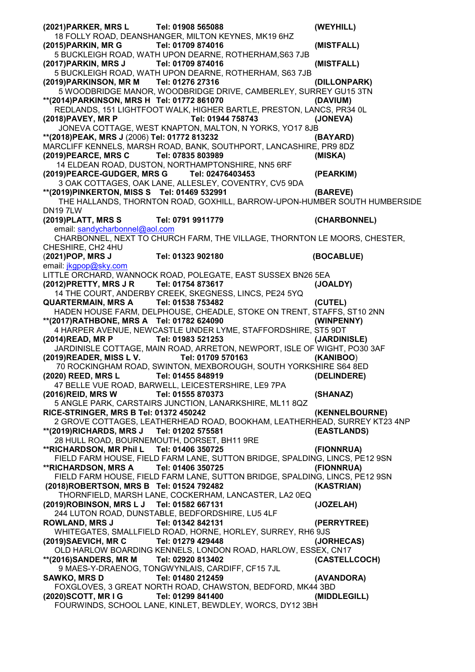**(2021)PARKER, MRS L Tel: 01908 565088 (WEYHILL)** 18 FOLLY ROAD, DEANSHANGER, MILTON KEYNES, MK19 6HZ **(2015)PARKIN, MR G Tel: 01709 874016 (MISTFALL)** 5 BUCKLEIGH ROAD, WATH UPON DEARNE, ROTHERHAM,S63 7JB **(2017)PARKIN, MRS J Tel: 01709 874016 (MISTFALL)** 5 BUCKLEIGH ROAD, WATH UPON DEARNE, ROTHERHAM, S63 7JB<br>119)PARKINSON, MR M Tel: 01276 27316 **(2019)PARKINSON, MR M Tel: 01276 27316 (DILLONPARK)** 5 WOODBRIDGE MANOR, WOODBRIDGE DRIVE, CAMBERLEY, SURREY GU15 3TN **\*\*(2014)PARKINSON, MRS H Tel: 01772 861070 (DAVIUM)** REDLANDS, 151 LIGHTFOOT WALK, HIGHER BARTLE, PRESTON, LANCS, PR34 0L **(2018)PAVEY, MR P Tel: 01944 758743 (JONEVA)**  JONEVA COTTAGE, WEST KNAPTON, MALTON, N YORKS, YO17 8JB<br>018)PEAK, MRS J (2006) Tel: 01772 813232 **\*\*(2018)PEAK, MRS J** (2006) **Tel: 01772 813232 (BAYARD)** MARCLIFF KENNELS, MARSH ROAD, BANK, SOUTHPORT, LANCASHIRE, PR9 8DZ **(2019)PEARCE, MRS C Tel: 07835 803989 (MISKA)** 14 ELDEAN ROAD, DUSTON, NORTHAMPTONSHIRE, NN5 6RF **(2019)PEARCE-GUDGER, MRS G Tel: 02476403453 (PEARKIM)**  3 OAK COTTAGES, OAK LANE, ALLESLEY, COVENTRY, CV5 9DA **\*\*(2019)PINKERTON, MISS S Tel: 01469 532991 (BAREVE)** THE HALLANDS, THORNTON ROAD, GOXHILL, BARROW-UPON-HUMBER SOUTH HUMBERSIDE DN19 7LW **(2019)PLATT, MRS S Tel: 0791 9911779 (CHARBONNEL)** email: [sandycharbonnel@aol.com](mailto:sandycharbonnel@aol.com) CHARBONNEL, NEXT TO CHURCH FARM, THE VILLAGE, THORNTON LE MOORS, CHESTER, CHESHIRE, CH2 4HU (**2021)POP, MRS J Tel: 01323 902180 (BOCABLUE)** email: [jkgpop@sky.com](mailto:jkgpop@sky.com) LITTLE ORCHARD, WANNOCK ROAD, POLEGATE, EAST SUSSEX BN26 5EA<br>(JOALDY) (2012)PRETTY, MRS J R Tel: 01754 873617 **(2012)PRETTY, MRS J R Tel: 01754 873617 (JOALDY)** 14 THE COURT, ANDERBY CREEK, SKEGNESS, LINCS, PE24 5YQ **QUARTERMAIN, MRS A Tel: 01538 753482 (CUTEL)**  HADEN HOUSE FARM, DELPHOUSE, CHEADLE, STOKE ON TRENT, STAFFS, ST10 2NN **\*\*(2017)RATHBONE, MRS A Tel: 01782 624090 (WINPENNY)** 4 HARPER AVENUE, NEWCASTLE UNDER LYME, STAFFORDSHIRE, ST5 9DT **(2014)READ, MR P Tel: 01983 521253 (JARDINISLE)** JARDINISLE COTTAGE, MAIN ROAD, ARRETON, NEWPORT, ISLE OF WIGHT, PO30 3AF **(2019)READER, MISS L V. Tel: 01709 570163 (KANIBOO**) 70 ROCKINGHAM ROAD, SWINTON, MEXBOROUGH, SOUTH YORKSHIRE S64 8ED **(2020) REED, MRS L Tel: 01455 848919 (DELINDERE)** 47 BELLE VUE ROAD, BARWELL, LEICESTERSHIRE, LE9 7PA **(2016)REID, MRS W Tel: 01555 870373 (SHANAZ)** 5 ANGLE PARK, CARSTAIRS JUNCTION, LANARKSHIRE, ML11 8QZ **RICE-STRINGER, MRS B Tel: 01372 450242 (KENNELBOURNE)** 2 GROVE COTTAGES, LEATHERHEAD ROAD, BOOKHAM, LEATHERHEAD, SURREY KT23 4NP **\*\*(2019)RICHARDS, MRS J Tel: 01202 575581 (EASTLANDS)** 28 HULL ROAD, BOURNEMOUTH, DORSET, BH11 9RE **\*\*RICHARDSON, MR Phil L Tel: 01406 350725 (FIONNRUA)** FIELD FARM HOUSE, FIELD FARM LANE, SUTTON BRIDGE, SPALDING, LINCS, PE12 9SN **\*\*RICHARDSON, MRS A Tel: 01406 350725 (FIONNRUA)** FIELD FARM HOUSE, FIELD FARM LANE, SUTTON BRIDGE, SPALDING, LINCS, PE12 9SN **(2018)ROBERTSON, MRS B Tel: 01524 792482 (KASTRIAN)** THORNFIELD, MARSH LANE, COCKERHAM, LANCASTER, LA2 0EQ **(2019)ROBINSON, MRS L J Tel: 01582 667131 (JOZELAH)** 244 LUTON ROAD, DUNSTABLE, BEDFORDSHIRE, LU5 4LF **ROWLAND, MRS J Tel: 01342 842131 (PERRYTREE)** WHITEGATES, SMALLFIELD ROAD, HORNE, HORLEY, SURREY, RH6 9JS **(2019)SAEVICH, MR C Tel: 01279 429448 (JORHECAS)** OLD HARLOW BOARDING KENNELS, LONDON ROAD, HARLOW, ESSEX, CN17 **\*\*(2016)SANDERS, MR M Tel: 02920 813402 (CASTELLCOCH)** 9 MAES-Y-DRAENOG, TONGWYNLAIS, CARDIFF, CF15 7JL **SAWKO, MRS D Tel: 01480 212459 (AVANDORA)** FOXGLOVES, 3 GREAT NORTH ROAD, CHAWSTON, BEDFORD, MK44 3BD **(2020)SCOTT, MR I G Tel: 01299 841400 (MIDDLEGILL)** FOURWINDS, SCHOOL LANE, KINLET, BEWDLEY, WORCS, DY12 3BH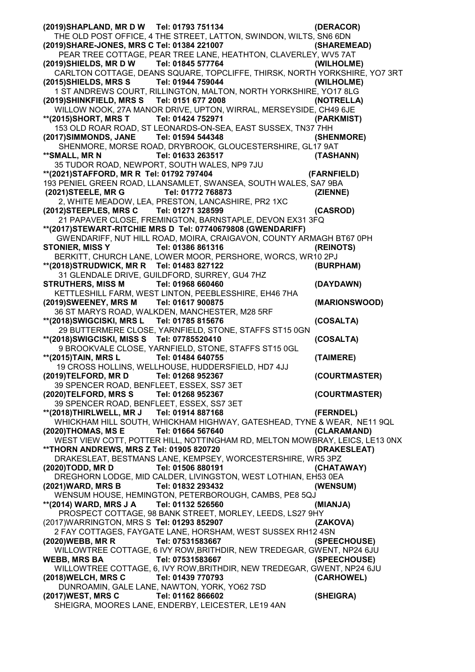**(2019)SHAPLAND, MR D W Tel: 01793 751134 (DERACOR)** THE OLD POST OFFICE, 4 THE STREET, LATTON, SWINDON, WILTS, SN6 6DN **(2019)SHARE-JONES, MRS C Tel: 01384 221007**  PEAR TREE COTTAGE, PEAR TREE LANE, HEATHTON, CLAVERLEY, WV5 7AT **(2019)SHIELDS, MR D W Tel: 01845 577764 (WILHOLME)** CARLTON COTTAGE, DEANS SQUARE, TOPCLIFFE, THIRSK, NORTH YORKSHIRE, YO7 3RT **(2015)SHIELDS, MRS S Tel: 01944 759044 (WILHOLME)** 1 ST ANDREWS COURT, RILLINGTON, MALTON, NORTH YORKSHIRE, YO17 8LG **(2019)SHINKFIELD, MRS S Tel: 0151 677 2008 (NOTRELLA)** WILLOW NOOK, 27A MANOR DRIVE, UPTON, WIRRAL, MERSEYSIDE, CH49 6JE<br>2015)SHORT, MRS Thel: 01424 752971 (PARKMIST) **\*\*(2015)SHORT, MRS T Tel: 01424 752971 (PARKMIST)** 153 OLD ROAR ROAD, ST LEONARDS-ON-SEA, EAST SUSSEX, TN37 7HH **(2017)SIMMONDS, JANE Tel: 01594 544348 (SHENMORE)** SHENMORE, MORSE ROAD, DRYBROOK, GLOUCESTERSHIRE, GL17 9AT **\*\*SMALL, MR N Tel: 01633 263517 (TASHANN)** 35 TUDOR ROAD, NEWPORT, SOUTH WALES, NP9 7JU **\*\*(2021)STAFFORD, MR R Tel: 01792 797404 (FARNFIELD)** 193 PENIEL GREEN ROAD, LLANSAMLET, SWANSEA, SOUTH WALES, SA7 9BA **(2021)STEELE, MR G Tel: 01772 768873 (ZIENNE)**  2, WHITE MEADOW, LEA, PRESTON, LANCASHIRE, PR2 1XC **(2012)STEEPLES, MRS C Tel: 01271 328599 (CASROD)** 21 PAPAVER CLOSE, FREMINGTON, BARNSTAPLE, DEVON EX31 3FQ **\*\*(2017)STEWART-RITCHIE MRS D Tel: 07740679808 (GWENDARIFF)**  GWENDARIFF, NUT HILL ROAD, MOIRA, CRAIGAVON, COUNTY ARMAGH BT67 0PH<br>**STONIER, MISS Y** Tel: 01386 861316 (REINOTS) **STONIER, MISS Y Tel: 01386 861316 (REINOTS)** BERKITT, CHURCH LANE, LOWER MOOR, PERSHORE, WORCS, WR10 2PJ **\*\*(2018)STRUDWICK, MR R Tel: 01483 827122 (BURPHAM)** 31 GLENDALE DRIVE, GUILDFORD, SURREY, GU4 7HZ **STRUTHERS, MISS M Tel: 01968 660460 (DAYDAWN)** KETTLESHILL FARM, WEST LINTON, PEEBLESSHIRE, EH46 7HA<br>119)SWEENEY, MRS Marchill 191617 900875 **(2019)SWEENEY, MRS M Tel: 01617 900875 (MARIONSWOOD)** 36 ST MARYS ROAD, WALKDEN, MANCHESTER, M28 5RF **\*\*(2018)SWIGCISKI, MRS L Tel: 01785 815676 (COSALTA)** 29 BUTTERMERE CLOSE, YARNFIELD, STONE, STAFFS ST15 0GN **\*\*(2018)SWIGCISKI, MISS S Tel: 07785520410 (COSALTA)** 9 BROOKVALE CLOSE, YARNFIELD, STONE, STAFFS ST15 0GL **\*\*(2015)TAIN, MRS L Tel: 01484 640755 (TAIMERE)** 19 CROSS HOLLINS, WELLHOUSE, HUDDERSFIELD, HD7 4JJ **(2019)TELFORD, MR D Tel: 01268 952367 (COURTMASTER)** 39 SPENCER ROAD, BENFLEET, ESSEX, SS7 3ET **(2020)TELFORD, MRS S Tel: 01268 952367 (COURTMASTER)** 39 SPENCER ROAD, BENFLEET, ESSEX, SS7 3ET<br>2018)THIRLWELL, MR J Tel: 01914 887168 **\*\*(2018)THIRLWELL, MR J Tel: 01914 887168 (FERNDEL)** WHICKHAM HILL SOUTH, WHICKHAM HIGHWAY, GATESHEAD, TYNE & WEAR, NE11 9QL **(2020)THOMAS, MS E Tel: 01664 567640 (CLARAMAND)** WEST VIEW COTT, POTTER HILL, NOTTINGHAM RD, MELTON MOWBRAY, LEICS, LE13 0NX **\*\*THORN ANDREWS, MRS Z Tel: 01905 820720 (DRAKESLEAT)** DRAKESLEAT, BESTMANS LANE, KEMPSEY, WORCESTERSHIRE, WR5 3PZ **(2020)TODD, MR D Tel: 01506 880191 (CHATAWAY)** DREGHORN LODGE, MID CALDER, LIVINGSTON, WEST LOTHIAN, EH53 0EA **(2021)WARD, MRS B Tel: 01832 293432 (WENSUM)** WENSUM HOUSE, HEMINGTON, PETERBOROUGH, CAMBS, PE8 5QJ **\*\*(2014) WARD, MRS J A Tel: 01132 526560 (MIANJA)** PROSPECT COTTAGE, 98 BANK STREET, MORLEY, LEEDS, LS27 9HY<br>7)WARRINGTON, MRS S Tel: 01293 852907 (ZAKOVA) (2017)WARRINGTON, MRS S Tel: 01293 852907 2 FAY COTTAGES, FAYGATE LANE, HORSHAM, WEST SUSSEX RH12 4SN **(2020)WEBB, MR R Tel: 07531583667 (SPEECHOUSE)** WILLOWTREE COTTAGE, 6 IVY ROW,BRITHDIR, NEW TREDEGAR, GWENT, NP24 6JU **WEBB, MRS BA Tel: 07531583667 (SPEECHOUSE)** WILLOWTREE COTTAGE, 6, IVY ROW,BRITHDIR, NEW TREDEGAR, GWENT, NP24 6JU **(2018)WELCH, MRS C Tel: 01439 770793 (CARHOWEL)** DUNROAMIN, GALE LANE, NAWTON, YORK, YO62 7SD **(2017)WEST, MRS C Tel: 01162 866602 (SHEIGRA)** SHEIGRA, MOORES LANE, ENDERBY, LEICESTER, LE19 4AN